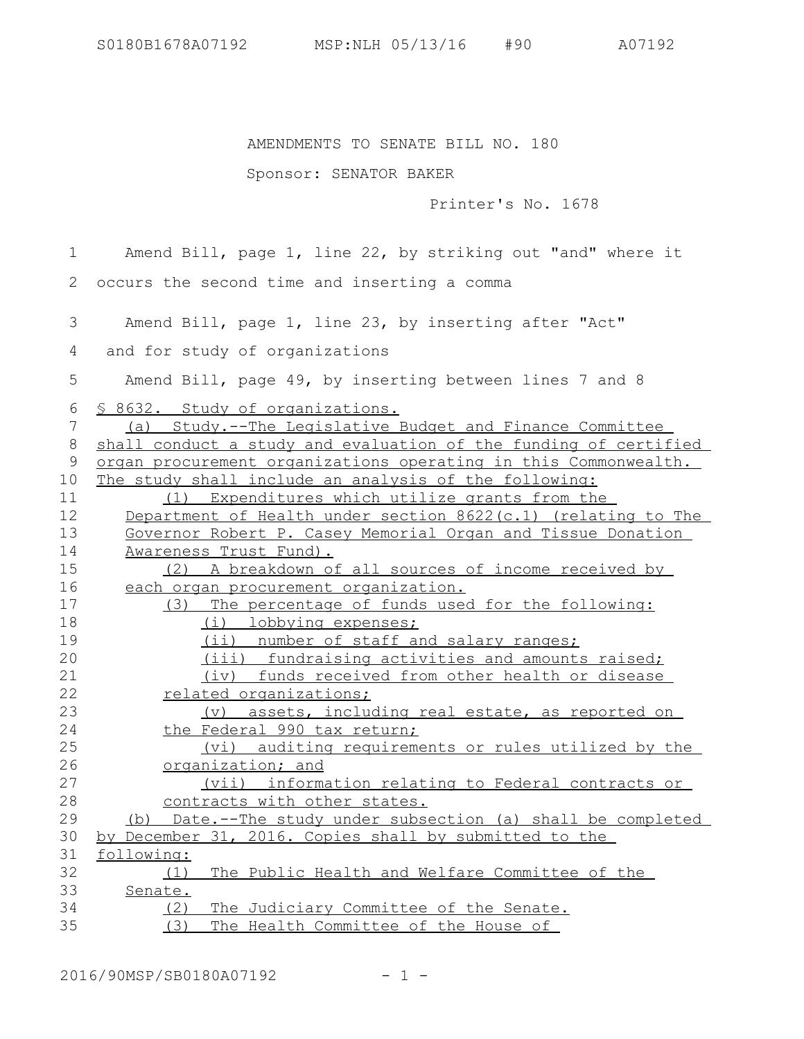## AMENDMENTS TO SENATE BILL NO. 180

## Sponsor: SENATOR BAKER

Printer's No. 1678

Amend Bill, page 1, line 22, by striking out "and" where it occurs the second time and inserting a comma 2 Amend Bill, page 1, line 23, by inserting after "Act" and for study of organizations Amend Bill, page 49, by inserting between lines 7 and 8 § 8632. Study of organizations. (a) Study.--The Legislative Budget and Finance Committee shall conduct a study and evaluation of the funding of certified organ procurement organizations operating in this Commonwealth. The study shall include an analysis of the following: (1) Expenditures which utilize grants from the Department of Health under section  $8622(c.1)$  (relating to The Governor Robert P. Casey Memorial Organ and Tissue Donation Awareness Trust Fund). (2) A breakdown of all sources of income received by each organ procurement organization. (3) The percentage of funds used for the following: (i) lobbying expenses; (ii) number of staff and salary ranges; (iii) fundraising activities and amounts raised; (iv) funds received from other health or disease related organizations; (v) assets, including real estate, as reported on the Federal 990 tax return; (vi) auditing requirements or rules utilized by the organization; and (vii) information relating to Federal contracts or contracts with other states. (b) Date.--The study under subsection (a) shall be completed by December 31, 2016. Copies shall by submitted to the following: (1) The Public Health and Welfare Committee of the Senate. (2) The Judiciary Committee of the Senate. (3) The Health Committee of the House of 1 3 4 5 6 7 8 9 10 11 12 13 14 15 16 17 18 19 20 21 22 23 24 25 26 27 28 29 30 31 32 33 34 35